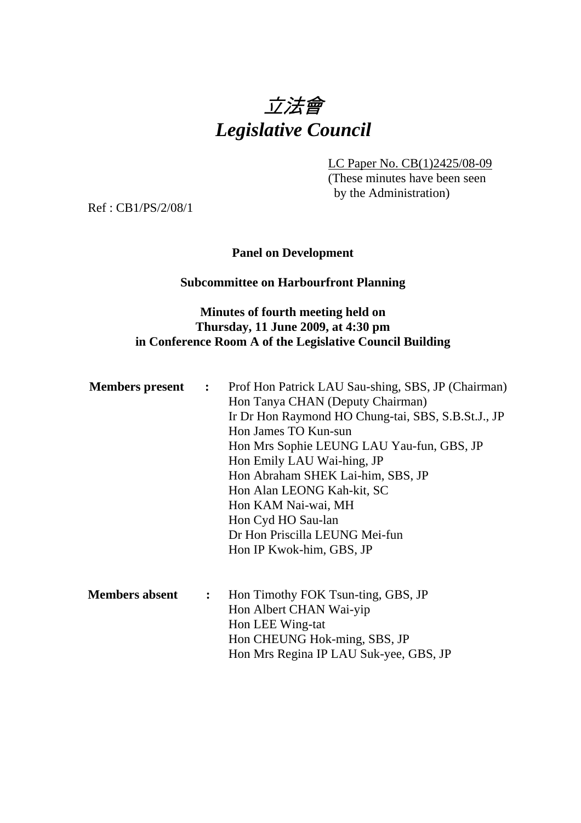

LC Paper No. CB(1)2425/08-09 (These minutes have been seen by the Administration)

Ref : CB1/PS/2/08/1

### **Panel on Development**

#### **Subcommittee on Harbourfront Planning**

#### **Minutes of fourth meeting held on Thursday, 11 June 2009, at 4:30 pm in Conference Room A of the Legislative Council Building**

| <b>Members</b> present | $\ddot{\cdot}$ | Prof Hon Patrick LAU Sau-shing, SBS, JP (Chairman) |
|------------------------|----------------|----------------------------------------------------|
|                        |                | Hon Tanya CHAN (Deputy Chairman)                   |
|                        |                | Ir Dr Hon Raymond HO Chung-tai, SBS, S.B.St.J., JP |
|                        |                | Hon James TO Kun-sun                               |
|                        |                | Hon Mrs Sophie LEUNG LAU Yau-fun, GBS, JP          |
|                        |                | Hon Emily LAU Wai-hing, JP                         |
|                        |                | Hon Abraham SHEK Lai-him, SBS, JP                  |
|                        |                | Hon Alan LEONG Kah-kit, SC                         |
|                        |                | Hon KAM Nai-wai, MH                                |
|                        |                | Hon Cyd HO Sau-lan                                 |
|                        |                | Dr Hon Priscilla LEUNG Mei-fun                     |
|                        |                | Hon IP Kwok-him, GBS, JP                           |
|                        |                |                                                    |
| <b>Members absent</b>  | $\ddot{\cdot}$ | Hon Timothy FOK Tsun-ting, GBS, JP                 |
|                        |                | Hon Albert CHAN Wai-yip                            |
|                        |                | Hon LEE Wing-tat                                   |
|                        |                | Hon CHEUNG Hok-ming, SBS, JP                       |

Hon Mrs Regina IP LAU Suk-yee, GBS, JP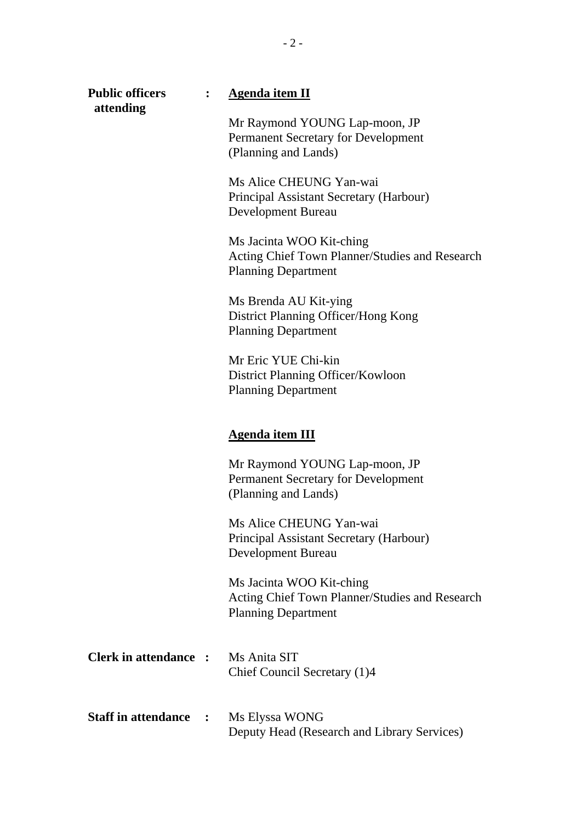| <b>Public officers</b><br>attending | <b>Agenda item II</b>                                                                                    |
|-------------------------------------|----------------------------------------------------------------------------------------------------------|
|                                     | Mr Raymond YOUNG Lap-moon, JP<br><b>Permanent Secretary for Development</b><br>(Planning and Lands)      |
|                                     | Ms Alice CHEUNG Yan-wai<br>Principal Assistant Secretary (Harbour)<br>Development Bureau                 |
|                                     | Ms Jacinta WOO Kit-ching<br>Acting Chief Town Planner/Studies and Research<br><b>Planning Department</b> |
|                                     | Ms Brenda AU Kit-ying<br>District Planning Officer/Hong Kong<br><b>Planning Department</b>               |
|                                     | Mr Eric YUE Chi-kin<br>District Planning Officer/Kowloon<br><b>Planning Department</b>                   |
|                                     | <b>Agenda item III</b>                                                                                   |
|                                     | Mr Raymond YOUNG Lap-moon, JP<br>Permanent Secretary for Development                                     |
|                                     | (Planning and Lands)                                                                                     |
|                                     | Ms Alice CHEUNG Yan-wai<br>Principal Assistant Secretary (Harbour)<br><b>Development Bureau</b>          |
|                                     | Ms Jacinta WOO Kit-ching<br>Acting Chief Town Planner/Studies and Research<br><b>Planning Department</b> |
| Clerk in attendance :               | Ms Anita SIT<br>Chief Council Secretary (1)4                                                             |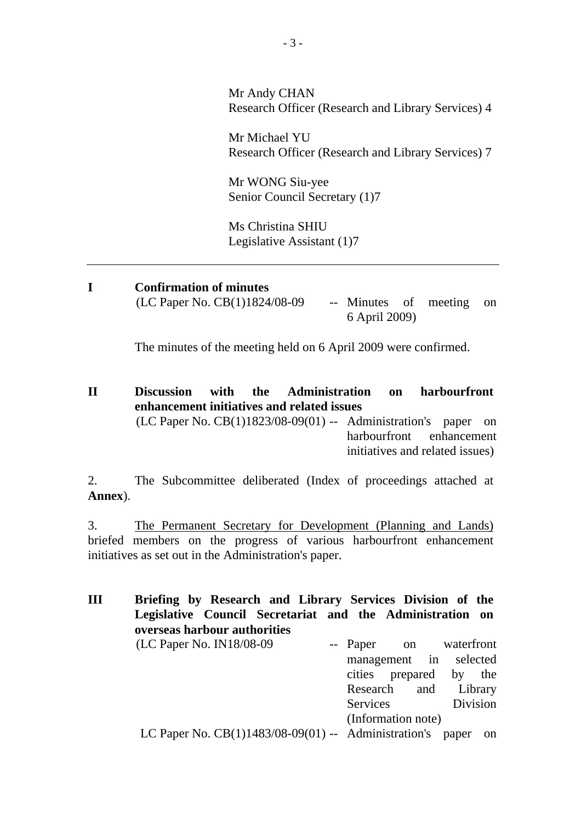Mr Andy CHAN Research Officer (Research and Library Services) 4

Mr Michael YU Research Officer (Research and Library Services) 7

Mr WONG Siu-yee Senior Council Secretary (1)7

Ms Christina SHIU Legislative Assistant (1)7

**I Confirmation of minutes**   $(LC$  Paper No.  $CB(1)1824/08-09$  -- Minutes of meeting on 6 April 2009)

The minutes of the meeting held on 6 April 2009 were confirmed.

**II Discussion with the Administration on harbourfront enhancement initiatives and related issues**   $(LC$  Paper No.  $CB(1)1823/08-09(01)$  -- Administration's paper on harbourfront enhancement initiatives and related issues)

2. The Subcommittee deliberated (Index of proceedings attached at **Annex**).

3. The Permanent Secretary for Development (Planning and Lands) briefed members on the progress of various harbourfront enhancement initiatives as set out in the Administration's paper.

**III Briefing by Research and Library Services Division of the Legislative Council Secretariat and the Administration on overseas harbour authorities**  (LC Paper No. IN18/08-09 -- Paper on waterfront management in selected cities prepared by the Research and Library Services Division (Information note) LC Paper No. CB(1)1483/08-09(01) -- Administration's paper on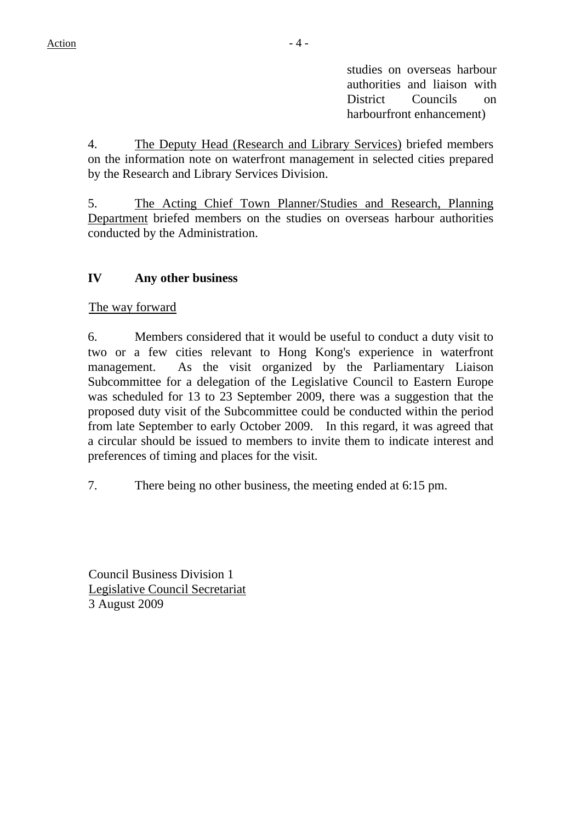studies on overseas harbour authorities and liaison with District Councils on harbourfront enhancement)

4. The Deputy Head (Research and Library Services) briefed members on the information note on waterfront management in selected cities prepared by the Research and Library Services Division.

5. The Acting Chief Town Planner/Studies and Research, Planning Department briefed members on the studies on overseas harbour authorities conducted by the Administration.

### **IV Any other business**

The way forward

6. Members considered that it would be useful to conduct a duty visit to two or a few cities relevant to Hong Kong's experience in waterfront management. As the visit organized by the Parliamentary Liaison Subcommittee for a delegation of the Legislative Council to Eastern Europe was scheduled for 13 to 23 September 2009, there was a suggestion that the proposed duty visit of the Subcommittee could be conducted within the period from late September to early October 2009. In this regard, it was agreed that a circular should be issued to members to invite them to indicate interest and preferences of timing and places for the visit.

7. There being no other business, the meeting ended at 6:15 pm.

Council Business Division 1 Legislative Council Secretariat 3 August 2009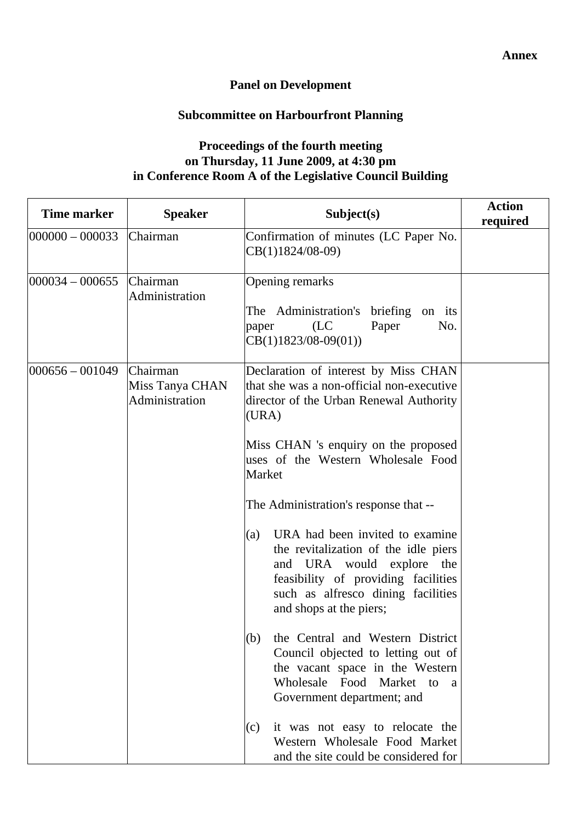# **Panel on Development**

# **Subcommittee on Harbourfront Planning**

## **Proceedings of the fourth meeting on Thursday, 11 June 2009, at 4:30 pm in Conference Room A of the Legislative Council Building**

| <b>Time marker</b>  | <b>Speaker</b>                                | Subject(s)                                                                                                                                                                                                          | <b>Action</b><br>required |
|---------------------|-----------------------------------------------|---------------------------------------------------------------------------------------------------------------------------------------------------------------------------------------------------------------------|---------------------------|
| $ 000000 - 000033 $ | Chairman                                      | Confirmation of minutes (LC Paper No.<br>$CB(1)1824/08-09)$                                                                                                                                                         |                           |
| $ 000034 - 000655 $ | Chairman<br>Administration                    | Opening remarks<br>The Administration's briefing on its<br>(LC)<br>Paper<br>No.<br>paper<br>$CB(1)1823/08-09(01))$                                                                                                  |                           |
| $ 000656 - 001049 $ | Chairman<br>Miss Tanya CHAN<br>Administration | Declaration of interest by Miss CHAN<br>that she was a non-official non-executive<br>director of the Urban Renewal Authority<br>(URA)                                                                               |                           |
|                     |                                               | Miss CHAN 's enquiry on the proposed<br>uses of the Western Wholesale Food<br>Market                                                                                                                                |                           |
|                     |                                               | The Administration's response that --                                                                                                                                                                               |                           |
|                     |                                               | URA had been invited to examine<br>(a)<br>the revitalization of the idle piers<br>and URA would explore the<br>feasibility of providing facilities<br>such as alfresco dining facilities<br>and shops at the piers; |                           |
|                     |                                               | (b) the Central and Western District<br>Council objected to letting out of<br>the vacant space in the Western<br>Wholesale Food Market to<br><sub>a</sub><br>Government department; and                             |                           |
|                     |                                               | it was not easy to relocate the<br>(c)<br>Western Wholesale Food Market<br>and the site could be considered for                                                                                                     |                           |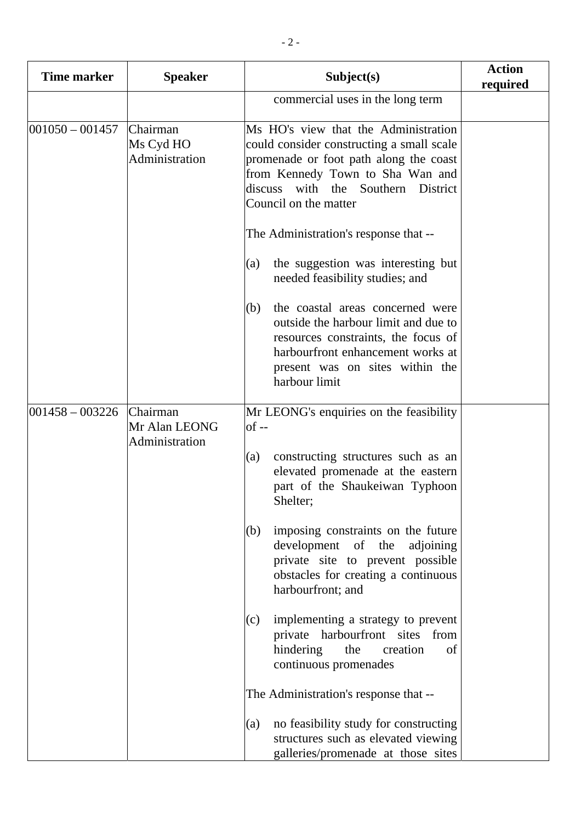| <b>Time marker</b> | <b>Speaker</b>                              | Subject(s)                                                                                                                                                                                                                        | <b>Action</b><br>required |
|--------------------|---------------------------------------------|-----------------------------------------------------------------------------------------------------------------------------------------------------------------------------------------------------------------------------------|---------------------------|
|                    |                                             | commercial uses in the long term                                                                                                                                                                                                  |                           |
| $001050 - 001457$  | Chairman<br>Ms Cyd HO<br>Administration     | Ms HO's view that the Administration<br>could consider constructing a small scale<br>promenade or foot path along the coast<br>from Kennedy Town to Sha Wan and<br>discuss<br>with the Southern District<br>Council on the matter |                           |
|                    |                                             | The Administration's response that --                                                                                                                                                                                             |                           |
|                    |                                             | the suggestion was interesting but<br>(a)<br>needed feasibility studies; and                                                                                                                                                      |                           |
|                    |                                             | the coastal areas concerned were<br>(b)<br>outside the harbour limit and due to<br>resources constraints, the focus of<br>harbourfront enhancement works at<br>present was on sites within the<br>harbour limit                   |                           |
| $001458 - 003226$  | Chairman<br>Mr Alan LEONG<br>Administration | Mr LEONG's enquiries on the feasibility<br>of --                                                                                                                                                                                  |                           |
|                    |                                             | constructing structures such as an<br>(a)<br>elevated promenade at the eastern<br>part of the Shaukeiwan Typhoon<br>Shelter;                                                                                                      |                           |
|                    |                                             | imposing constraints on the future<br>(b)<br>development of the<br>adjoining<br>private site to prevent possible<br>obstacles for creating a continuous<br>harbourfront; and                                                      |                           |
|                    |                                             | implementing a strategy to prevent<br>(c)<br>private harbourfront sites from<br>hindering<br>the<br>creation<br>of<br>continuous promenades                                                                                       |                           |
|                    |                                             | The Administration's response that --                                                                                                                                                                                             |                           |
|                    |                                             | no feasibility study for constructing<br>(a)<br>structures such as elevated viewing<br>galleries/promenade at those sites                                                                                                         |                           |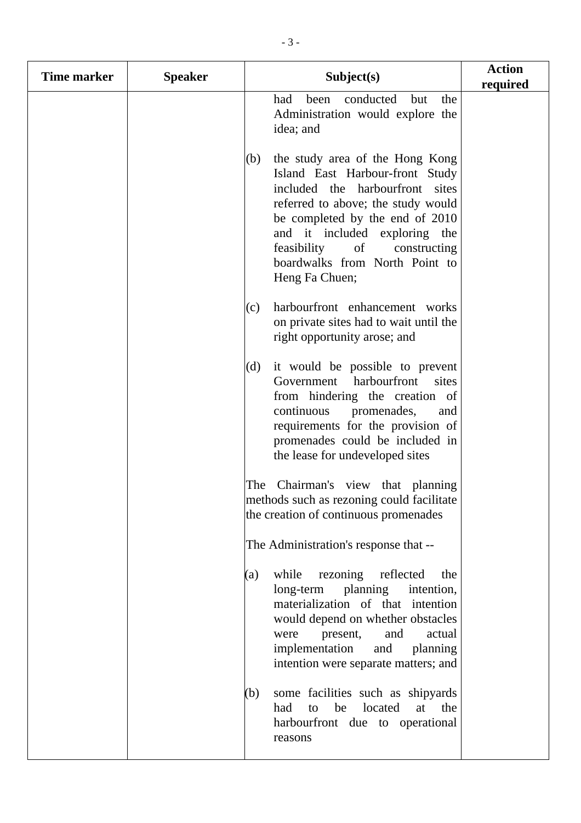| Time marker | <b>Speaker</b> | Subject(s)                                                                                                                                                                                                                                                                                                      | <b>Action</b><br>required |
|-------------|----------------|-----------------------------------------------------------------------------------------------------------------------------------------------------------------------------------------------------------------------------------------------------------------------------------------------------------------|---------------------------|
|             |                | conducted<br>the<br>had<br>been<br>but<br>Administration would explore the<br>idea; and                                                                                                                                                                                                                         |                           |
|             |                | the study area of the Hong Kong<br>(b)<br>Island East Harbour-front Study<br>included the harbourfront sites<br>referred to above; the study would<br>be completed by the end of 2010<br>and it included exploring the<br>feasibility<br>of<br>constructing<br>boardwalks from North Point to<br>Heng Fa Chuen; |                           |
|             |                | harbourfront enhancement works<br>(c)<br>on private sites had to wait until the<br>right opportunity arose; and                                                                                                                                                                                                 |                           |
|             |                | (d)<br>it would be possible to prevent<br>Government harbourfront<br>sites<br>from hindering the creation of<br>continuous promenades,<br>and<br>requirements for the provision of<br>promenades could be included in<br>the lease for undeveloped sites                                                        |                           |
|             |                | The Chairman's view that planning<br>methods such as rezoning could facilitate<br>the creation of continuous promenades                                                                                                                                                                                         |                           |
|             |                | The Administration's response that --                                                                                                                                                                                                                                                                           |                           |
|             |                | rezoning reflected<br>while<br>(a)<br>the<br>long-term planning<br>intention,<br>materialization of that intention<br>would depend on whether obstacles<br>and<br>actual<br>present,<br>were<br>implementation<br>and<br>planning<br>intention were separate matters; and                                       |                           |
|             |                | some facilities such as shipyards<br>(b)<br>located<br>at<br>had<br>be<br>the<br>to<br>harbourfront due to operational<br>reasons                                                                                                                                                                               |                           |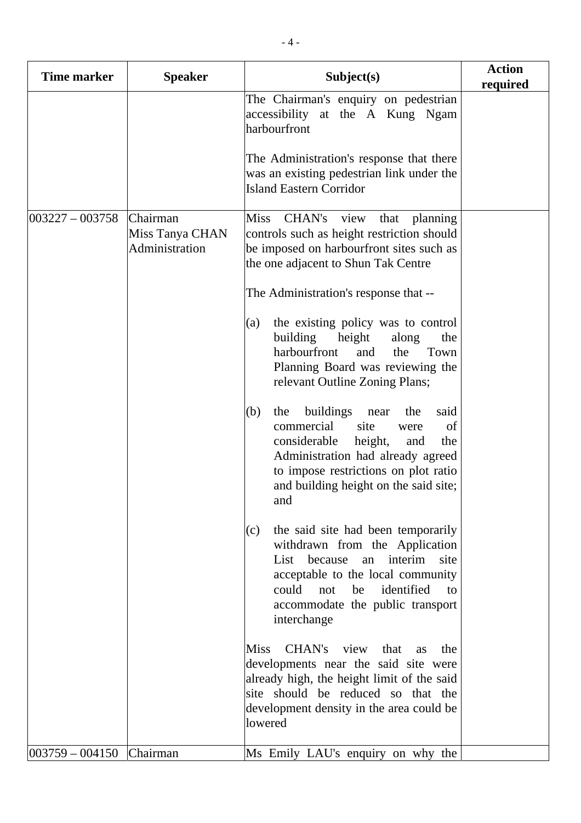| <b>Time marker</b> | <b>Speaker</b>                                | Subject(s)                                                                                                                                                                                                                                                | <b>Action</b><br>required |
|--------------------|-----------------------------------------------|-----------------------------------------------------------------------------------------------------------------------------------------------------------------------------------------------------------------------------------------------------------|---------------------------|
|                    |                                               | The Chairman's enquiry on pedestrian<br>accessibility at the A Kung Ngam<br>harbourfront                                                                                                                                                                  |                           |
|                    |                                               | The Administration's response that there<br>was an existing pedestrian link under the<br><b>Island Eastern Corridor</b>                                                                                                                                   |                           |
| $003227 - 003758$  | Chairman<br>Miss Tanya CHAN<br>Administration | CHAN's<br><b>Miss</b><br>view<br>that<br>planning<br>controls such as height restriction should<br>be imposed on harbourfront sites such as<br>the one adjacent to Shun Tak Centre                                                                        |                           |
|                    |                                               | The Administration's response that --                                                                                                                                                                                                                     |                           |
|                    |                                               | the existing policy was to control<br>(a)<br>building<br>height<br>along<br>the<br>harbourfront<br>and<br>the<br>Town<br>Planning Board was reviewing the<br>relevant Outline Zoning Plans;                                                               |                           |
|                    |                                               | buildings<br>(b)<br>the<br>the<br>said<br>near<br>commercial<br>site<br>of<br>were<br>considerable<br>height,<br>the<br>and<br>Administration had already agreed<br>to impose restrictions on plot ratio<br>and building height on the said site;<br>and  |                           |
|                    |                                               | the said site had been temporarily<br>(c)<br>withdrawn from the Application<br>interim<br>List<br>because<br>site<br>an<br>acceptable to the local community<br>could<br>identified<br>not<br>be<br>to<br>accommodate the public transport<br>interchange |                           |
|                    |                                               | CHAN's<br><b>Miss</b><br>view<br>that<br>the<br>as<br>developments near the said site were<br>already high, the height limit of the said<br>site should be reduced so that the<br>development density in the area could be<br>lowered                     |                           |
| $003759 - 004150$  | Chairman                                      | Ms Emily LAU's enquiry on why the                                                                                                                                                                                                                         |                           |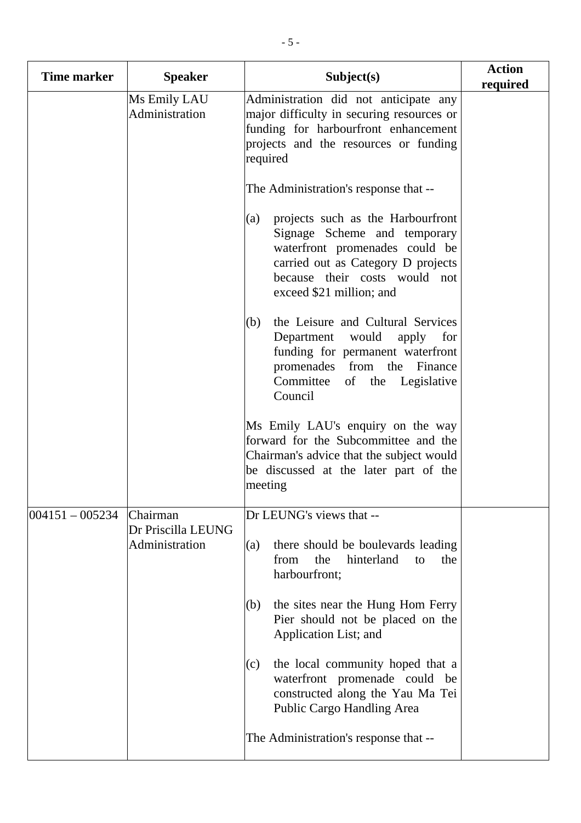| <b>Time marker</b> | <b>Speaker</b>                 | Subject(s)                                                                                                                                                                                                    | <b>Action</b><br>required |
|--------------------|--------------------------------|---------------------------------------------------------------------------------------------------------------------------------------------------------------------------------------------------------------|---------------------------|
|                    | Ms Emily LAU<br>Administration | Administration did not anticipate any<br>major difficulty in securing resources or<br>funding for harbourfront enhancement<br>projects and the resources or funding<br>required                               |                           |
|                    |                                | The Administration's response that --                                                                                                                                                                         |                           |
|                    |                                | projects such as the Harbourfront<br>(a)<br>Signage Scheme and temporary<br>waterfront promenades could be<br>carried out as Category D projects<br>because their costs would not<br>exceed \$21 million; and |                           |
|                    |                                | the Leisure and Cultural Services<br>(b)<br>Department<br>would<br>apply for<br>funding for permanent waterfront<br>promenades from the<br>Finance<br>Committee<br>of the<br>Legislative<br>Council           |                           |
|                    |                                | Ms Emily LAU's enquiry on the way<br>forward for the Subcommittee and the<br>Chairman's advice that the subject would<br>be discussed at the later part of the<br>meeting                                     |                           |
| $ 004151 - 005234$ | Chairman<br>Dr Priscilla LEUNG | Dr LEUNG's views that --                                                                                                                                                                                      |                           |
|                    | Administration                 | there should be boulevards leading<br>(a)<br>the<br>hinterland<br>from<br>the<br>to<br>harbourfront;                                                                                                          |                           |
|                    |                                | the sites near the Hung Hom Ferry<br>(b)<br>Pier should not be placed on the<br>Application List; and                                                                                                         |                           |
|                    |                                | the local community hoped that a<br>(c)<br>waterfront promenade could be<br>constructed along the Yau Ma Tei<br>Public Cargo Handling Area                                                                    |                           |
|                    |                                | The Administration's response that --                                                                                                                                                                         |                           |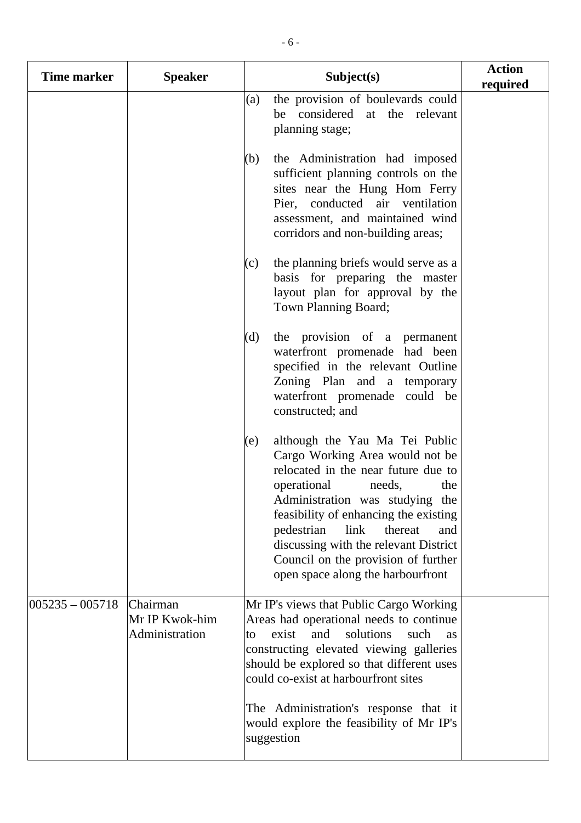| Time marker         | <b>Speaker</b>                               | Subject(s)                                                                                                                                                                                                                                                                                                                                                                               | <b>Action</b><br>required |
|---------------------|----------------------------------------------|------------------------------------------------------------------------------------------------------------------------------------------------------------------------------------------------------------------------------------------------------------------------------------------------------------------------------------------------------------------------------------------|---------------------------|
|                     |                                              | the provision of boulevards could<br>(a)<br>be considered at the relevant<br>planning stage;                                                                                                                                                                                                                                                                                             |                           |
|                     |                                              | the Administration had imposed<br>(b)<br>sufficient planning controls on the<br>sites near the Hung Hom Ferry<br>Pier, conducted air ventilation<br>assessment, and maintained wind<br>corridors and non-building areas;                                                                                                                                                                 |                           |
|                     |                                              | the planning briefs would serve as a<br>(c)<br>basis for preparing the master<br>layout plan for approval by the<br>Town Planning Board;                                                                                                                                                                                                                                                 |                           |
|                     |                                              | the provision of a permanent<br>(d)<br>waterfront promenade had been<br>specified in the relevant Outline<br>Zoning Plan and a temporary<br>waterfront promenade could be<br>constructed; and                                                                                                                                                                                            |                           |
|                     |                                              | although the Yau Ma Tei Public<br>(e)<br>Cargo Working Area would not be<br>relocated in the near future due to<br>operational<br>needs,<br>the<br>Administration was studying the<br>feasibility of enhancing the existing<br>pedestrian<br>link<br>thereat<br>and<br>discussing with the relevant District<br>Council on the provision of further<br>open space along the harbourfront |                           |
| $ 005235 - 005718 $ | Chairman<br>Mr IP Kwok-him<br>Administration | Mr IP's views that Public Cargo Working<br>Areas had operational needs to continue<br>solutions<br>exist<br>and<br>such<br>to<br><b>as</b><br>constructing elevated viewing galleries<br>should be explored so that different uses<br>could co-exist at harbourfront sites                                                                                                               |                           |
|                     |                                              | The Administration's response that it<br>would explore the feasibility of Mr IP's<br>suggestion                                                                                                                                                                                                                                                                                          |                           |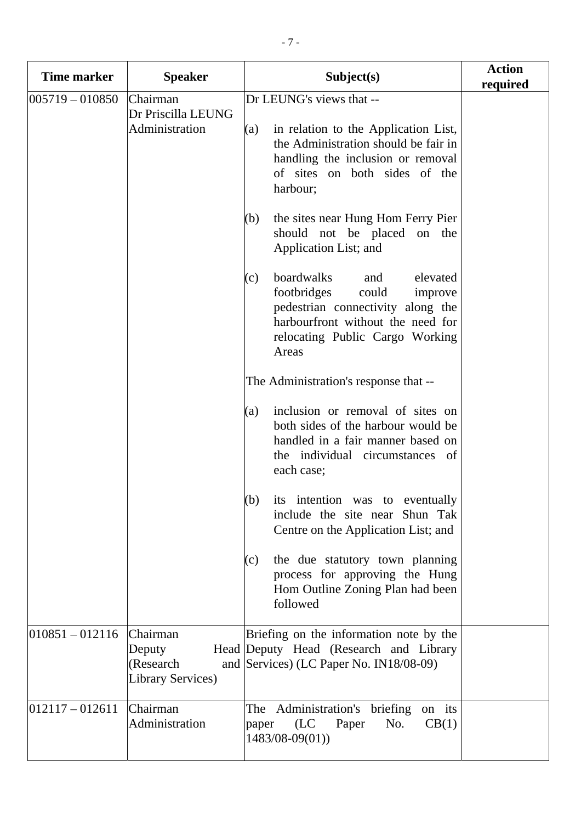| <b>Time marker</b>  | <b>Speaker</b>                                       | Subject(s)                                                                                                                                                                                                                                                                    | <b>Action</b><br>required |
|---------------------|------------------------------------------------------|-------------------------------------------------------------------------------------------------------------------------------------------------------------------------------------------------------------------------------------------------------------------------------|---------------------------|
| $005719 - 010850$   | Chairman<br>Dr Priscilla LEUNG<br>Administration     | Dr LEUNG's views that --<br>in relation to the Application List,<br>(a)<br>the Administration should be fair in<br>handling the inclusion or removal<br>of sites on both sides of the<br>harbour;<br>the sites near Hung Hom Ferry Pier<br>(b)<br>should not be placed on the |                           |
|                     |                                                      | Application List; and<br>boardwalks<br>elevated<br>(c)<br>and<br>footbridges<br>could<br>improve<br>pedestrian connectivity along the<br>harbourfront without the need for<br>relocating Public Cargo Working<br>Areas                                                        |                           |
|                     |                                                      | The Administration's response that --                                                                                                                                                                                                                                         |                           |
|                     |                                                      | inclusion or removal of sites on<br>(a)<br>both sides of the harbour would be<br>handled in a fair manner based on<br>the individual circumstances of<br>each case;                                                                                                           |                           |
|                     |                                                      | $(b)$ its intention was to eventually<br>include the site near Shun Tak<br>Centre on the Application List; and                                                                                                                                                                |                           |
|                     |                                                      | the due statutory town planning<br>(c)<br>process for approving the Hung<br>Hom Outline Zoning Plan had been<br>followed                                                                                                                                                      |                           |
| $ 010851 - 012116 $ | Chairman<br>Deputy<br>(Research<br>Library Services) | Briefing on the information note by the<br>Head Deputy Head (Research and Library<br>and Services) (LC Paper No. IN18/08-09)                                                                                                                                                  |                           |
| $ 012117 - 012611 $ | Chairman<br>Administration                           | The Administration's briefing<br>on its<br>(LC)<br>Paper<br>No.<br>CB(1)<br>paper<br>$1483/08-09(01)$                                                                                                                                                                         |                           |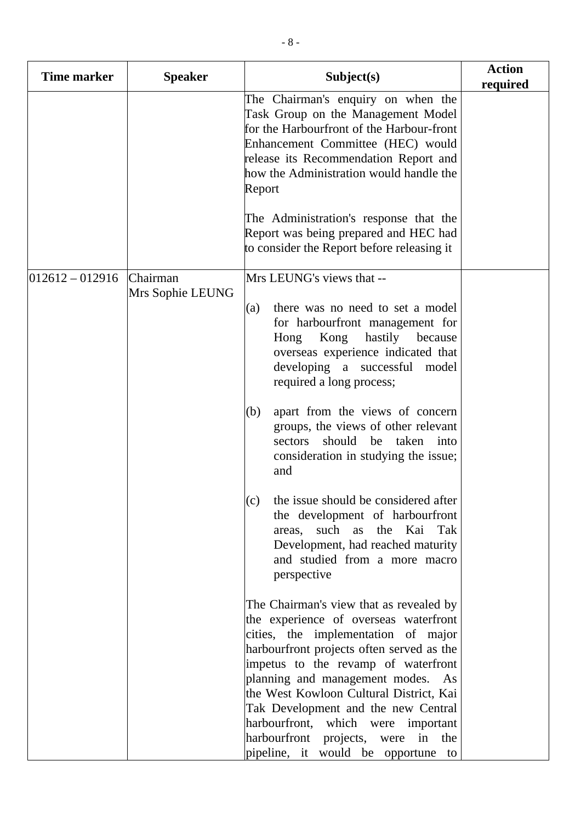| <b>Speaker</b> | Subject(s)                                                                                                                                                                                                                                                                                                                                                                                                                 | <b>Action</b><br>required          |
|----------------|----------------------------------------------------------------------------------------------------------------------------------------------------------------------------------------------------------------------------------------------------------------------------------------------------------------------------------------------------------------------------------------------------------------------------|------------------------------------|
|                | The Chairman's enquiry on when the<br>Task Group on the Management Model<br>for the Harbourfront of the Harbour-front<br>Enhancement Committee (HEC) would<br>release its Recommendation Report and<br>how the Administration would handle the<br>Report                                                                                                                                                                   |                                    |
|                | The Administration's response that the<br>Report was being prepared and HEC had<br>to consider the Report before releasing it                                                                                                                                                                                                                                                                                              |                                    |
| Chairman       | Mrs LEUNG's views that --                                                                                                                                                                                                                                                                                                                                                                                                  |                                    |
|                | there was no need to set a model<br>(a)<br>for harbourfront management for<br>Kong hastily because<br>Hong<br>overseas experience indicated that<br>developing a successful model<br>required a long process;                                                                                                                                                                                                              |                                    |
|                | apart from the views of concern<br>(b)<br>groups, the views of other relevant<br>should be taken into<br>sectors<br>consideration in studying the issue;<br>and                                                                                                                                                                                                                                                            |                                    |
|                | (c) the issue should be considered after<br>the development of harbourfront<br>areas, such as<br>the Kai<br>Tak<br>Development, had reached maturity<br>and studied from a more macro<br>perspective                                                                                                                                                                                                                       |                                    |
|                | The Chairman's view that as revealed by<br>the experience of overseas waterfront<br>cities, the implementation of major<br>harbourfront projects often served as the<br>impetus to the revamp of waterfront<br>planning and management modes.<br>As<br>the West Kowloon Cultural District, Kai<br>Tak Development and the new Central<br>harbourfront, which were important<br>harbourfront<br>projects, were<br>in<br>the |                                    |
|                | Mrs Sophie LEUNG                                                                                                                                                                                                                                                                                                                                                                                                           | pipeline, it would be opportune to |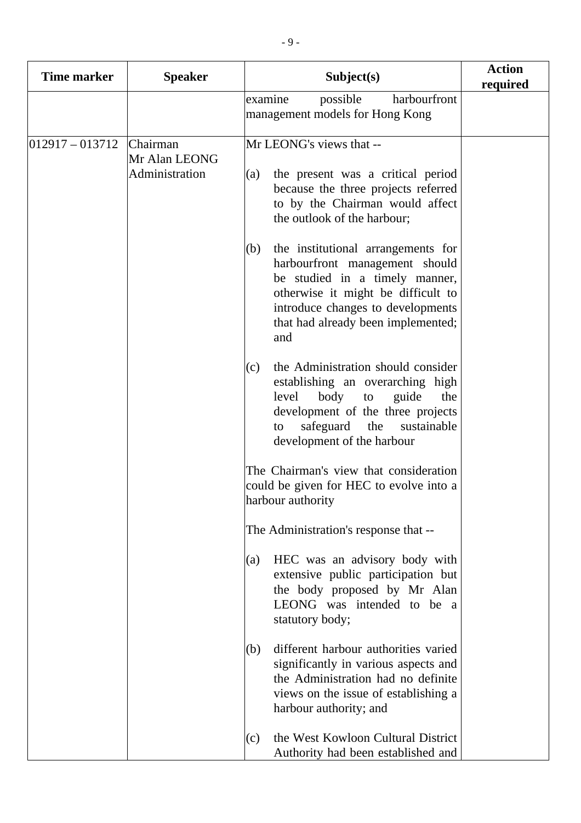| Time marker       | <b>Speaker</b>                              | Subject(s)                                                                                                                                                                                                                            | <b>Action</b><br>required |
|-------------------|---------------------------------------------|---------------------------------------------------------------------------------------------------------------------------------------------------------------------------------------------------------------------------------------|---------------------------|
|                   |                                             | harbourfront<br>possible<br>examine<br>management models for Hong Kong                                                                                                                                                                |                           |
| $012917 - 013712$ | Chairman<br>Mr Alan LEONG<br>Administration | Mr LEONG's views that --<br>the present was a critical period<br>(a)<br>because the three projects referred<br>to by the Chairman would affect<br>the outlook of the harbour;                                                         |                           |
|                   |                                             | the institutional arrangements for<br>(b)<br>harbourfront management should<br>be studied in a timely manner,<br>otherwise it might be difficult to<br>introduce changes to developments<br>that had already been implemented;<br>and |                           |
|                   |                                             | the Administration should consider<br>(c)<br>establishing an overarching high<br>body<br>guide<br>the<br>level<br>to<br>development of the three projects<br>safeguard<br>the<br>sustainable<br>to<br>development of the harbour      |                           |
|                   |                                             | The Chairman's view that consideration<br>could be given for HEC to evolve into a<br>harbour authority                                                                                                                                |                           |
|                   |                                             | The Administration's response that --                                                                                                                                                                                                 |                           |
|                   |                                             | HEC was an advisory body with<br>(a)<br>extensive public participation but<br>the body proposed by Mr Alan<br>LEONG was intended to be a<br>statutory body;                                                                           |                           |
|                   |                                             | different harbour authorities varied<br>(b)<br>significantly in various aspects and<br>the Administration had no definite<br>views on the issue of establishing a<br>harbour authority; and                                           |                           |
|                   |                                             | the West Kowloon Cultural District<br>(c)<br>Authority had been established and                                                                                                                                                       |                           |